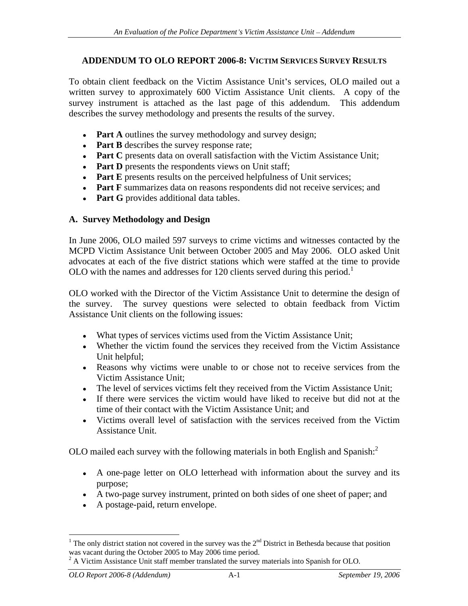#### **ADDENDUM TO OLO REPORT 2006-8: VICTIM SERVICES SURVEY RESULTS**

To obtain client feedback on the Victim Assistance Unit's services, OLO mailed out a written survey to approximately 600 Victim Assistance Unit clients. A copy of the survey instrument is attached as the last page of this addendum. This addendum describes the survey methodology and presents the results of the survey.

- **Part A** outlines the survey methodology and survey design;
- **Part B** describes the survey response rate;
- **Part C** presents data on overall satisfaction with the Victim Assistance Unit;
- Part **D** presents the respondents views on Unit staff;
- **Part E** presents results on the perceived helpfulness of Unit services;
- Part F summarizes data on reasons respondents did not receive services; and
- **Part G** provides additional data tables.

#### **A. Survey Methodology and Design**

In June 2006, OLO mailed 597 surveys to crime victims and witnesses contacted by the MCPD Victim Assistance Unit between October 2005 and May 2006. OLO asked Unit advocates at each of the five district stations which were staffed at the time to provide OLO with the names and addresses for 120 clients served during this period.<sup>1</sup>

OLO worked with the Director of the Victim Assistance Unit to determine the design of the survey. The survey questions were selected to obtain feedback from Victim Assistance Unit clients on the following issues:

- What types of services victims used from the Victim Assistance Unit;
- Whether the victim found the services they received from the Victim Assistance Unit helpful;
- Reasons why victims were unable to or chose not to receive services from the Victim Assistance Unit;
- The level of services victims felt they received from the Victim Assistance Unit;
- If there were services the victim would have liked to receive but did not at the time of their contact with the Victim Assistance Unit; and
- Victims overall level of satisfaction with the services received from the Victim Assistance Unit.

OLO mailed each survey with the following materials in both English and Spanish: 2

- A one-page letter on OLO letterhead with information about the survey and its purpose;
- A two-page survey instrument, printed on both sides of one sheet of paper; and
- A postage-paid, return envelope.

l

<sup>&</sup>lt;sup>1</sup> The only district station not covered in the survey was the  $2<sup>nd</sup>$  District in Bethesda because that position was vacant during the October 2005 to May 2006 time period.<br><sup>2</sup> A Victim Assistance Unit staff member translated the survey materials into Spanish for OLO.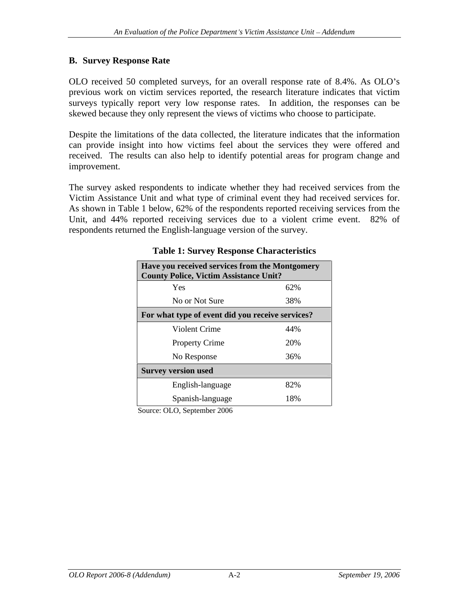#### **B. Survey Response Rate**

OLO received 50 completed surveys, for an overall response rate of 8.4%. As OLO's previous work on victim services reported, the research literature indicates that victim surveys typically report very low response rates. In addition, the responses can be skewed because they only represent the views of victims who choose to participate.

Despite the limitations of the data collected, the literature indicates that the information can provide insight into how victims feel about the services they were offered and received. The results can also help to identify potential areas for program change and improvement.

The survey asked respondents to indicate whether they had received services from the Victim Assistance Unit and what type of criminal event they had received services for. As shown in Table <sup>1</sup> below, 62% of the respondents reported receiving services from the Unit, and 44% reported receiving services due to a violent crime event. 82% of respondents returned the English-language version of the survey.

| Have you received services from the Montgomery<br><b>County Police, Victim Assistance Unit?</b> |     |
|-------------------------------------------------------------------------------------------------|-----|
| Yes                                                                                             | 62% |
| No or Not Sure                                                                                  | 38% |
| For what type of event did you receive services?                                                |     |
| Violent Crime                                                                                   | 44% |
| Property Crime                                                                                  | 20% |
| No Response                                                                                     | 36% |
| <b>Survey version used</b>                                                                      |     |
| English-language                                                                                | 82% |
| Spanish-language                                                                                | 18% |

#### **Table 1: Survey Response Characteristics**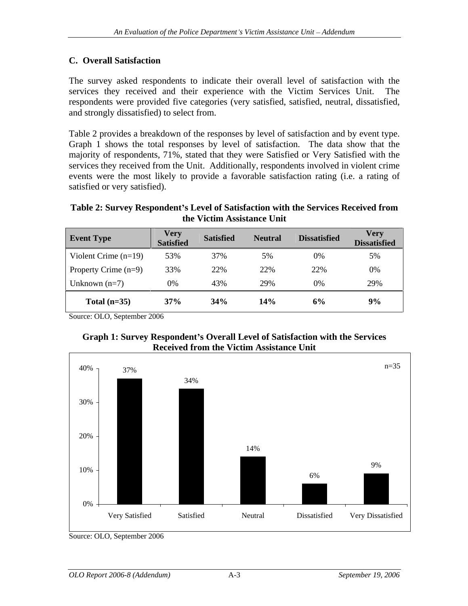## **C. Overall Satisfaction**

The survey asked respondents to indicate their overall level of satisfaction with the services they received and their experience with the Victim Services Unit. The respondents were provided five categories (very satisfied, satisfied, neutral, dissatisfied, and strongly dissatisfied) to select from.

Table 2 provides a breakdown of the responses by level of satisfaction and by event type. Graph 1 shows the total responses by level of satisfaction. The data show that the majority of respondents, 71%, stated that they were Satisfied or Very Satisfied with the services they received from the Unit. Additionally, respondents involved in violent crime events were the most likely to provide a favorable satisfaction rating (i.e. a rating of satisfied or very satisfied).

### **Table 2: Survey Respondent s Level of Satisfaction with the Services Received from the Victim Assistance Unit**

| Event Type Satisfied Satisfied Neutral Dissatisfied Very |  |  |  |
|----------------------------------------------------------|--|--|--|
| Violent Crime (n=19) 53% 37% 5% 0% 5% $1$                |  |  |  |
| Property Crime (n=9) 33% 22% 22% 22% 0%                  |  |  |  |
| Unknown (n=7) $0\%$ 43% 29% 0% 29% 29%                   |  |  |  |
| Total (n=35) $37\%$ $34\%$ $14\%$ $6\%$ $9\%$            |  |  |  |





Source: OLO, September 2006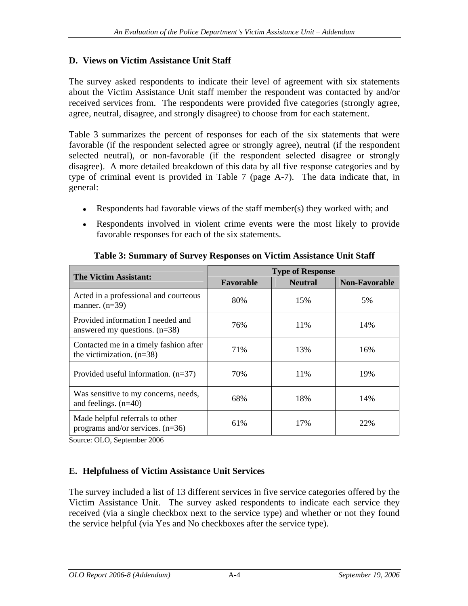## **D. Views on Victim Assistance Unit Staff**

The survey asked respondents to indicate their level of agreement with six statements about the Victim Assistance Unit staff member the respondent was contacted by and/or received services from. The respondents were provided five categories (strongly agree, agree, neutral, disagree, and strongly disagree) to choose from for each statement.

Table 3 summarizes the percent of responses for each of the six statements that were favorable (if the respondent selected agree or strongly agree), neutral (if the respondent selected neutral), or non-favorable (if the respondent selected disagree or strongly disagree). A more detailed breakdown of this databy all five response categories and by type of criminal event is provided in Table 7 (page A-7). The data indicate that, in general:

- Respondents had favorable views of the staff member(s) they worked with; and
- Respondents involved in violent crime events were the most likely to provide favorable responses for each of the six statements.

| The Victim Assistant:                                                 |           | <b>Type of Response</b> |               |
|-----------------------------------------------------------------------|-----------|-------------------------|---------------|
|                                                                       | Favorable | <b>Neutral</b>          | Non-Favorable |
| Acted in a professional and courteous<br>manner. $(n=39)$             | 80%       | 15%                     | 5%            |
| Provided information I needed and<br>answered my questions. $(n=38)$  | 76%       | 11%                     | 14%           |
| Contacted me in a timely fashion after<br>the victimization. $(n=38)$ | 71%       | 13%                     | 16%           |
| Provided useful information. $(n=37)$                                 | 70%       | 11%                     | 19%           |
| Was sensitive to my concerns, needs,<br>and feelings. $(n=40)$        | 68%       | 18%                     | 14%           |
| Made helpful referrals to other<br>programs and/or services. $(n=36)$ | 61%       | 17%                     | 22%           |

### **Table 3: Summary of Survey Responses on Victim Assistance Unit Staff**

Source: OLO, September 2006

## **E. Helpfulness of Victim Assistance Unit Services**

The survey included a list of 13 different services in five service categories offered by the Victim Assistance Unit. The survey asked respondents to indicate each service they received (via a single checkbox next to the service type) and whether or not they found the service helpful (via Yes and No checkboxes after the service type).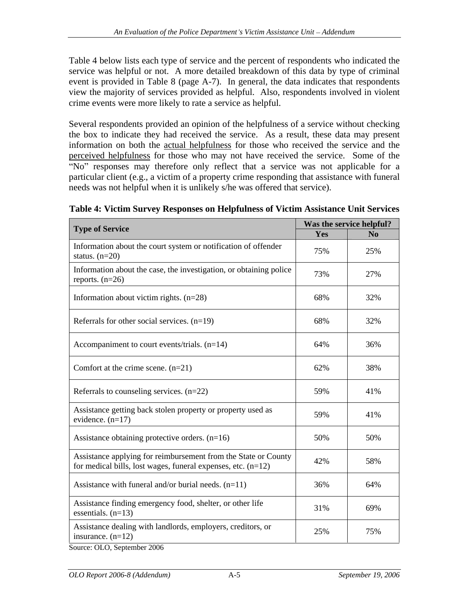Table 4 below lists each type of service and the percent of respondentswho indicated the service was helpful or not. A more detailed breakdown of this data by type of criminal event is provided in Table 8 (page A-7). In general, the data indicates that respondents view the majority of services provided as helpful. Also, respondents involved in violent crime events were more likely to rate a service as helpful.

Several respondents provided an opinion of the helpfulness of a service without checking the box to indicate they had received the service. As a result, these data may present information on both the actual helpfulness for those who received the service and the perceived helpfulness for those who may not have received the service. Some of the "No" responses may therefore only reflect that a service was not applicable for a particular client (e.g., a victim of a property crime responding that assistance with funeral needs was not helpful when it is unlikely s/he was offered that service).

| <b>Type of Service</b>                                                                                                             |     | Was the service helpful? |
|------------------------------------------------------------------------------------------------------------------------------------|-----|--------------------------|
|                                                                                                                                    | Yes | No                       |
| Information about the court system or notification of offender<br>status. $(n=20)$                                                 | 75% | 25%                      |
| Information about the case, the investigation, or obtaining police<br>reports. $(n=26)$                                            | 73% | 27%                      |
| Information about victim rights. $(n=28)$                                                                                          | 68% | 32%                      |
| Referrals for other social services. $(n=19)$                                                                                      | 68% | 32%                      |
| Accompaniment to court events/trials. $(n=14)$                                                                                     | 64% | 36%                      |
| Comfort at the crime scene. $(n=21)$                                                                                               | 62% | 38%                      |
| Referrals to counseling services. $(n=22)$                                                                                         | 59% | 41%                      |
| Assistance getting back stolen property or property used as<br>evidence. $(n=17)$                                                  | 59% | 41%                      |
| Assistance obtaining protective orders. $(n=16)$                                                                                   | 50% | 50%                      |
| Assistance applying for reimbursement from the State or County  <br>for medical bills, lost wages, funeral expenses, etc. $(n=12)$ | 42% | 58%                      |
| Assistance with funeral and/or burial needs. $(n=11)$                                                                              | 36% | 64%                      |
| Assistance finding emergency food, shelter, or other life<br>essentials. $(n=13)$                                                  | 31% | 69%                      |
| Assistance dealing with landlords, employers, creditors, or<br>insurance. $(n=12)$                                                 | 25% | 75%                      |
|                                                                                                                                    |     |                          |

**Table 4: Victim Survey Responses on Helpfulness of Victim Assistance Unit Services**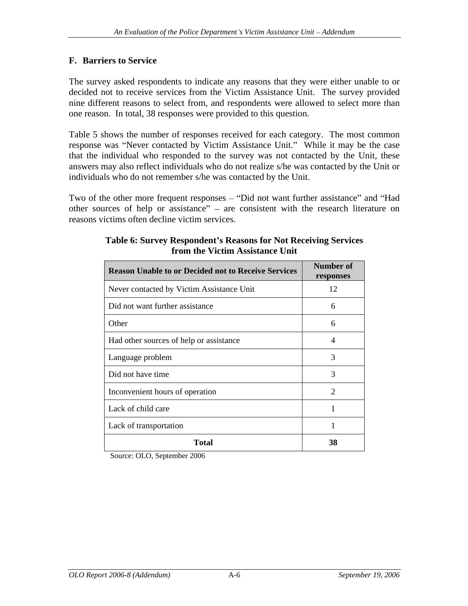### **F. Barriers to Service**

The survey asked respondents to indicate any reasons that they were either unable to or decided not to receive services from the Victim Assistance Unit. The survey provided nine different reasons to select from, and respondents were allowed to select more than one reason. In total, 38 responses were provided to this question.

Table 5 shows the number of responses received for each category. The most common response was "Never contacted by Victim Assistance Unit." While it may be the case that the individual who responded to the survey was not contacted by the Unit, these answers may also reflect individuals who do not realize s/he was contacted by the Unit or individuals who do not remember s/he was contacted by the Unit.

Two of the other more frequent responses – "Did not want further assistance" and "Had other sources of help or assistance"  $-$  are consistent with the research literature on reasons victims often decline victim services.

| Reason Unable to or Decided not to Receive Services | Number of<br>responses |
|-----------------------------------------------------|------------------------|
| Never contacted by Victim Assistance Unit           | 12                     |
| Did not want further assistance                     |                        |
| Other                                               |                        |
| Had other sources of help or assistance             |                        |
| Language problem                                    |                        |
| Did not have time                                   |                        |
| Inconvenient hours of operation                     |                        |
| Lack of child care                                  |                        |
| Lack of transportation                              |                        |
| <b>Total</b>                                        | 38                     |

#### **Table 6: Survey Respondent s Reasons for Not Receiving Services from the Victim Assistance Unit**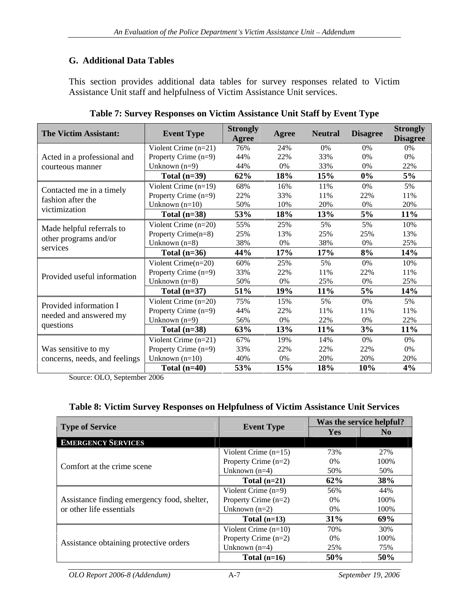# **G. Additional Data Tables**

This section provides additional data tables for survey responses related to Victim Assistance Unit staff and helpfulness of Victim Assistance Unit services.

| The Victim Assistant:                                          | <b>Event Type</b>      | <b>Strongly</b><br>Agree | Agree Neutral Disagree |        |            | <b>Strongly</b><br>Disagree |
|----------------------------------------------------------------|------------------------|--------------------------|------------------------|--------|------------|-----------------------------|
|                                                                | Violent Crime $(n=21)$ |                          |                        |        |            |                             |
| Acted in a professional and $\vert$ Property Crime (n=9)       |                        | 44%                      |                        |        |            |                             |
| courteous manner                                               | Unknown $(n=9)$        | 44%                      |                        |        |            |                             |
|                                                                | Total $(n=39)$         | $62\%$                   | $18\%$                 | 15%    | $0\%$      | $5\%$                       |
|                                                                | Violent Crime $(n=19)$ | 68%                      |                        |        |            |                             |
| Contacted me in a timely<br>fashion after the<br>victimization | Property Crime (n=9)   |                          |                        |        |            |                             |
|                                                                | Unknown (n             | 50%                      |                        |        |            | 20%                         |
|                                                                | Total $(n=38)$         | 53%                      | 18%                    | 13%    |            | $11\%$                      |
|                                                                | Violent Crime $(n=20)$ | 55%                      | 25%                    |        |            | 10%                         |
| Made helpful referrals to<br>other programs and/or<br>services | Property Crime $(n=8)$ |                          |                        |        |            | 13%                         |
|                                                                | Unknown (n=8)          | 38%                      |                        |        |            | 25%                         |
|                                                                | Total $(n=36)$         | 44%                      | $17\%$                 | 17%    | $\delta$ % | 14%                         |
|                                                                | Violent Crime $(n=20)$ |                          |                        |        |            | 10%                         |
|                                                                | Property Crime $(n=9)$ |                          |                        |        |            |                             |
| Provided useful information                                    | Unknown $(n=8)$        | 50%                      |                        |        |            | 25%                         |
|                                                                | Total $(n=37)$         | $51\%$                   | 19%                    | $11\%$ |            | 14%                         |
|                                                                | Violent Crime $(n=20)$ | 75%                      |                        |        |            |                             |
| Provided information I                                         | Property Crime (n=9)   |                          |                        |        |            |                             |
| needed and answered my<br>questions                            | Unknown (n=9           |                          |                        |        |            |                             |
|                                                                | Total $(n=38)$         | 63%                      | <b>13%</b>             | 11%    |            | $11\%$                      |
|                                                                | Violent Crime $(n=21)$ |                          |                        |        |            |                             |
| Was sensitive to my                                            | Property Crime (n=9)   |                          |                        | 22%    |            |                             |
| concerns, needs, and feelings                                  | Unknown $(n=10)$       | 40\%                     |                        |        |            |                             |
|                                                                | Total $(n=40)$         | 53%                      | 15%                    | 18%    | 10%        | 4%                          |

| <b>Table 7: Survey Responses on</b>                              |  |  |
|------------------------------------------------------------------|--|--|
| $\sim$ on Victim Assistance $\cup$<br>e Unit Staff by Event Type |  |  |
|                                                                  |  |  |
|                                                                  |  |  |
|                                                                  |  |  |

Source: OLO, September 2006

### **Table 8: Victim Survey Responses on Helpfulness of Victim Assistance Unit Services**

|                                                                                   |                        |        | Was the service helpful? |
|-----------------------------------------------------------------------------------|------------------------|--------|--------------------------|
| <b>Type of Service</b>                                                            | <b>Event Type</b>      | Yes    | - No                     |
| <b>EMERGENCY SERVICES</b>                                                         |                        |        |                          |
|                                                                                   | Violent Crime $(n=15)$ | 73%    | 27%                      |
|                                                                                   | Property Crime $(n=2)$ | $0\%$  | 100%                     |
| Comfort at the crime scene                                                        | Unknown $(n=4)$        | 50%    | 50%                      |
|                                                                                   | Total $(n=21)$         | $62\%$ | 38%                      |
|                                                                                   | Violent Crime $(n=9)$  | 56%    | 44%                      |
| Assistance finding emergency food, shelter, $\boxed{\text{Property C}$ rime (n=2) |                        | $0\%$  | 100%                     |
| or other life essentials                                                          | Unknown $(n=2)$        | $0\%$  | 100%                     |
|                                                                                   | Total $(n=13)$         | 31%    | 69%                      |
|                                                                                   | Violent Crime $(n=10)$ | 70%    | 30%                      |
|                                                                                   | Property Crime $(n=2)$ | $0\%$  | 100%                     |
| Assistance obtaining protective orders                                            | Unknown $(n=4)$        | 25%    | 75%                      |
|                                                                                   | Total $(n=16)$         | 50%    | 50%                      |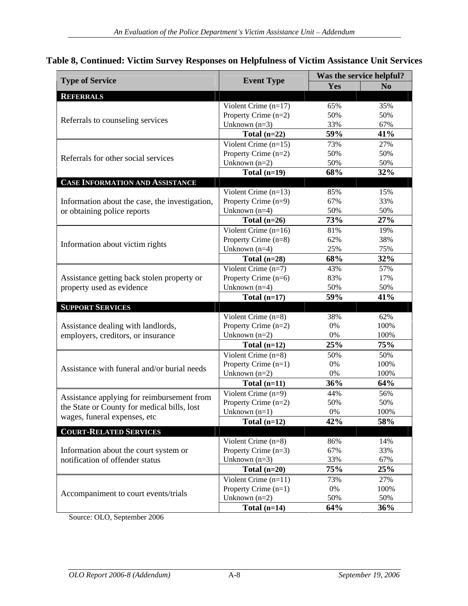|  | Table 8, Co<br>Victim Survey<br>ev Responses on Helpfulness of Victim Assistance U<br>Continued | <b>Unit Services</b> |  |  |  |
|--|-------------------------------------------------------------------------------------------------|----------------------|--|--|--|
|--|-------------------------------------------------------------------------------------------------|----------------------|--|--|--|

| <b>Type of Service</b>                         | <b>Event Type</b>                                |                     | Was the service helpful? |
|------------------------------------------------|--------------------------------------------------|---------------------|--------------------------|
|                                                |                                                  | Yes                 | No                       |
| REFERRALS                                      |                                                  |                     |                          |
|                                                | Violent Crime $(n=17)$<br>Property Crime $(n=2)$ | 65%<br>50%          | 35%<br>50%               |
| Referrals to counseling services               | Unknown $(n=3)$                                  | 33%                 | 67%                      |
|                                                | Total $(n=22)$                                   | 59%                 | 41%                      |
|                                                | Violent Crime $(n=15)$                           | 73%                 | 27%                      |
|                                                | Property Crime $(n=2)$                           | 50%                 | 50%                      |
| Referrals for other social services            | Unknown $(n=2)$                                  | 50%                 | 50%                      |
|                                                | Total $(n=19)$                                   | 68%                 | 32%                      |
| <b>CASE INFORMATION AND ASSISTANCE</b>         |                                                  |                     |                          |
|                                                | Violent Crime $(n=13)$                           | 85%                 | 15%                      |
| Information about the case, the investigation, | Property Crime (n=9)                             | 67%                 | 33%                      |
| or obtaining police reports                    | Unknown $(n=4)$                                  | $\frac{50\%}{73\%}$ | $\frac{50\%}{27\%}$      |
|                                                | Total $(n=26)$                                   |                     |                          |
|                                                | Violent Crime $(n=16)$                           | 81%                 | 19%                      |
| Information about victim rights                | Property Crime (n=8)                             | 62%                 | 38%                      |
|                                                | Unknown $(n=4)$                                  | 25%                 | 75%                      |
|                                                | Total $(n=28)$                                   | 68%                 | 32%                      |
|                                                | Violent Crime $(n=7)$                            | 43%                 | 57%                      |
| Assistance getting back stolen property or     | Property Crime (n=6)                             | 83%                 | 17%                      |
| property used as evidence                      | Unknown $(n=4)$                                  | 50%                 | 50%                      |
|                                                | Total $(n=17)$                                   | 59%                 | 41%                      |
| <b>SUPPORT SERVICES</b>                        |                                                  |                     |                          |
|                                                | Violent Crime $(n=8)$                            | 38%                 | 62%                      |
| Assistance dealing with landlords,             | Property Crime (n=2)<br>Unknown $(n=2)$          | 0%                  | 100%<br>100%             |
| employers, creditors, or insurance             | Total $(n=12)$                                   | 25%                 | 75%                      |
|                                                |                                                  |                     |                          |
|                                                | Violent Crime $(n=8)$<br>Property Crime (n=1)    | 50%<br>$0\%$        | 50%<br>100%              |
| Assistance with funeral and/or burial needs    | Unknown $(n=2)$                                  | 0%                  | 100%                     |
|                                                | Total $(n=11)$                                   | 36%                 | 64%                      |
|                                                | Violent Crime $(n=9)$                            | 44%                 | 56%                      |
| Assistance applying for reimbursement from     | Property Crime $(n=2)$                           | 50%                 | 50%                      |
| the State or County for medical bills, lost    | Unknown $(n=1)$                                  |                     | 100%                     |
| wages, funeral expenses, etc                   | Total $(n=12)$                                   | 42%                 | 58%                      |
| <b>COURT-RELATED SERVICES</b>                  |                                                  |                     |                          |
|                                                | Violent Crime $(n=8)$                            | 86%                 | 14%                      |
| Information about the court system or          | Property Crime $(n=3)$                           | 67%                 | 33%                      |
| notification of offender status                | Unknown $(n=3)$                                  | 33%                 | 67%                      |
|                                                | Total $(n=20)$                                   | 75%                 | 25%                      |
|                                                | Violent Crime $(n=11)$                           | 73%                 | 27%                      |
| Accompaniment to court events/trials           | Property Crime (n=1)                             | 0%                  | 100%                     |
|                                                | Unknown $(n=2)$                                  | 50%                 | 50%                      |
|                                                | Total $(n=14)$                                   | 64%                 | 36%                      |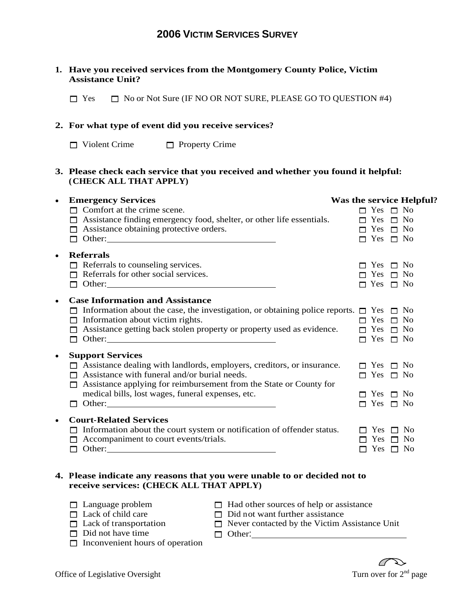#### **1. Have you received services from the Montgomery County Police, Victim Assistance Unit?**

 $\Box$  Yes  $\Box$  No or Not Sure (IF NO OR NOT SURE, PLEASE GO TO QUESTION #4)

#### **2. For what type of event did you receive services?**

Violent Crime  $\Box$  Property Crime

#### **3. Please check each service that you received and whether you found it helpful: (CHECK ALL THAT APPLY)**

| <b>Emergency Services</b>                                                                               | Was the service Helpful? |
|---------------------------------------------------------------------------------------------------------|--------------------------|
| $\Box$ Comfort at the crime scene.                                                                      | $\Box$ Yes $\Box$ No     |
| $\Box$ Assistance finding emergency food, shelter, or other life essentials.                            | $\Box$ Yes $\Box$ No     |
| $\Box$ Assistance obtaining protective orders.                                                          | $\Box$ Yes $\Box$ No     |
|                                                                                                         | $\Box$ Yes $\Box$ No     |
| • Referrals                                                                                             |                          |
| $\Box$ Referrals to counseling services.                                                                | $\Box$ Yes $\Box$ No     |
| $\Box$ Referrals for other social services.                                                             | $\Box$ Yes $\Box$ No     |
|                                                                                                         | $\Box$ Yes $\Box$ No     |
| <b>Case Information and Assistance</b>                                                                  |                          |
| $\Box$ Information about the case, the investigation, or obtaining police reports. $\Box$ Yes $\Box$ No |                          |
| $\Box$ Information about victim rights.                                                                 | $\Box$ Yes $\Box$ No     |
| $\Box$ Assistance getting back stolen property or property used as evidence.                            | $\Box$ Yes $\Box$ No     |
|                                                                                                         |                          |
|                                                                                                         | $\Box$ Yes $\Box$ No     |
| • Support Services                                                                                      |                          |
| $\Box$ Assistance dealing with landlords, employers, creditors, or insurance.                           | $\Box$ Yes $\Box$ No     |
| $\Box$ Assistance with funeral and/or burial needs.                                                     | $\Box$ Yes $\Box$ No     |
| $\Box$ Assistance applying for reimbursement from the State or County for                               |                          |
| medical bills, lost wages, funeral expenses, etc.                                                       | $\Box$ Yes $\Box$ No     |
|                                                                                                         | $\Box$ Yes $\Box$ No     |
|                                                                                                         |                          |
| • Court-Related Services                                                                                |                          |
| $\Box$ Information about the court system or notification of offender status.                           | $\Box$ Yes $\Box$ No     |
| $\Box$ Accompaniment to court events/trials.                                                            | $\Box$ Yes $\Box$ No     |
| $\Box$ Other:                                                                                           | $\Box$ Yes $\Box$ No     |
|                                                                                                         |                          |

#### **4. Please indicate any reasons that you were unable to or decided not to receive services: (CHECK ALL THAT APPLY)**

- 
- Language problem  $\Box$  Had other sources of help or assistance
- 
- Lack of child care  $\Box$  Did not want further assistance
	- Lack of transportation  $\square$  Never contacted by the Victim Assistance Unit
- 
- Did not have time  $\Box$  Other:  $\Box$  Inconvenient hours of operation □ Other: